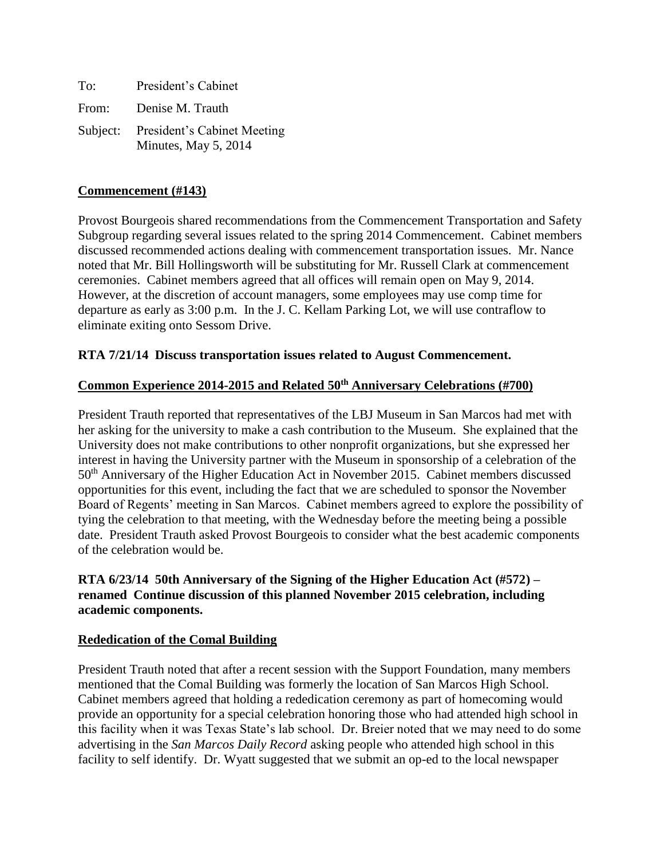| To:   | President's Cabinet                                          |
|-------|--------------------------------------------------------------|
| From: | Denise M. Trauth                                             |
|       | Subject: President's Cabinet Meeting<br>Minutes, May 5, 2014 |

### **Commencement (#143)**

Provost Bourgeois shared recommendations from the Commencement Transportation and Safety Subgroup regarding several issues related to the spring 2014 Commencement. Cabinet members discussed recommended actions dealing with commencement transportation issues. Mr. Nance noted that Mr. Bill Hollingsworth will be substituting for Mr. Russell Clark at commencement ceremonies. Cabinet members agreed that all offices will remain open on May 9, 2014. However, at the discretion of account managers, some employees may use comp time for departure as early as 3:00 p.m. In the J. C. Kellam Parking Lot, we will use contraflow to eliminate exiting onto Sessom Drive.

### **RTA 7/21/14 Discuss transportation issues related to August Commencement.**

#### **Common Experience 2014-2015 and Related 50th Anniversary Celebrations (#700)**

President Trauth reported that representatives of the LBJ Museum in San Marcos had met with her asking for the university to make a cash contribution to the Museum. She explained that the University does not make contributions to other nonprofit organizations, but she expressed her interest in having the University partner with the Museum in sponsorship of a celebration of the 50th Anniversary of the Higher Education Act in November 2015. Cabinet members discussed opportunities for this event, including the fact that we are scheduled to sponsor the November Board of Regents' meeting in San Marcos. Cabinet members agreed to explore the possibility of tying the celebration to that meeting, with the Wednesday before the meeting being a possible date. President Trauth asked Provost Bourgeois to consider what the best academic components of the celebration would be.

### **RTA 6/23/14 50th Anniversary of the Signing of the Higher Education Act (#572) – renamed Continue discussion of this planned November 2015 celebration, including academic components.**

#### **Rededication of the Comal Building**

President Trauth noted that after a recent session with the Support Foundation, many members mentioned that the Comal Building was formerly the location of San Marcos High School. Cabinet members agreed that holding a rededication ceremony as part of homecoming would provide an opportunity for a special celebration honoring those who had attended high school in this facility when it was Texas State's lab school. Dr. Breier noted that we may need to do some advertising in the *San Marcos Daily Record* asking people who attended high school in this facility to self identify. Dr. Wyatt suggested that we submit an op-ed to the local newspaper